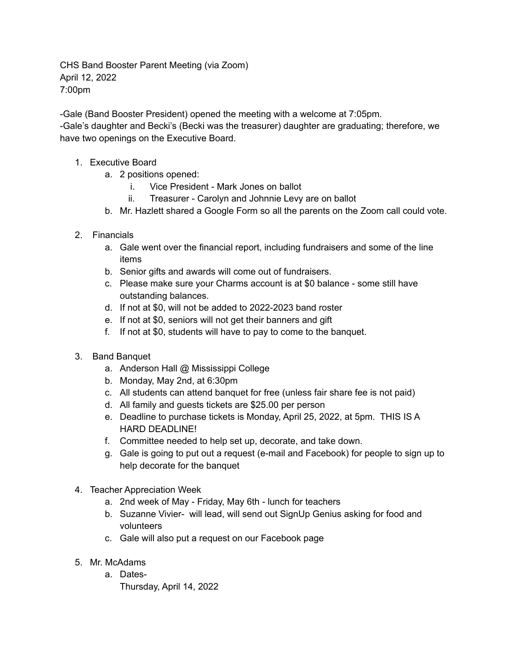CHS Band Booster Parent Meeting (via Zoom) April 12, 2022 7:00pm

-Gale (Band Booster President) opened the meeting with a welcome at 7:05pm. -Gale's daughter and Becki's (Becki was the treasurer) daughter are graduating; therefore, we have two openings on the Executive Board.

- 1. Executive Board
	- a. 2 positions opened:
		- i. Vice President Mark Jones on ballot
		- ii. Treasurer Carolyn and Johnnie Levy are on ballot
	- b. Mr. Hazlett shared a Google Form so all the parents on the Zoom call could vote.
- 2. Financials
	- a. Gale went over the financial report, including fundraisers and some of the line items
	- b. Senior gifts and awards will come out of fundraisers.
	- c. Please make sure your Charms account is at \$0 balance some still have outstanding balances.
	- d. If not at \$0, will not be added to 2022-2023 band roster
	- e. If not at \$0, seniors will not get their banners and gift
	- f. If not at \$0, students will have to pay to come to the banquet.
- 3. Band Banquet
	- a. Anderson Hall @ Mississippi College
	- b. Monday, May 2nd, at 6:30pm
	- c. All students can attend banquet for free (unless fair share fee is not paid)
	- d. All family and guests tickets are \$25.00 per person
	- e. Deadline to purchase tickets is Monday, April 25, 2022, at 5pm. THIS IS A HARD DEADLINE!
	- f. Committee needed to help set up, decorate, and take down.
	- g. Gale is going to put out a request (e-mail and Facebook) for people to sign up to help decorate for the banquet
- 4. Teacher Appreciation Week
	- a. 2nd week of May Friday, May 6th lunch for teachers
	- b. Suzanne Vivier- will lead, will send out SignUp Genius asking for food and volunteers
	- c. Gale will also put a request on our Facebook page
- 5. Mr. McAdams
	- a. Dates-
		- Thursday, April 14, 2022